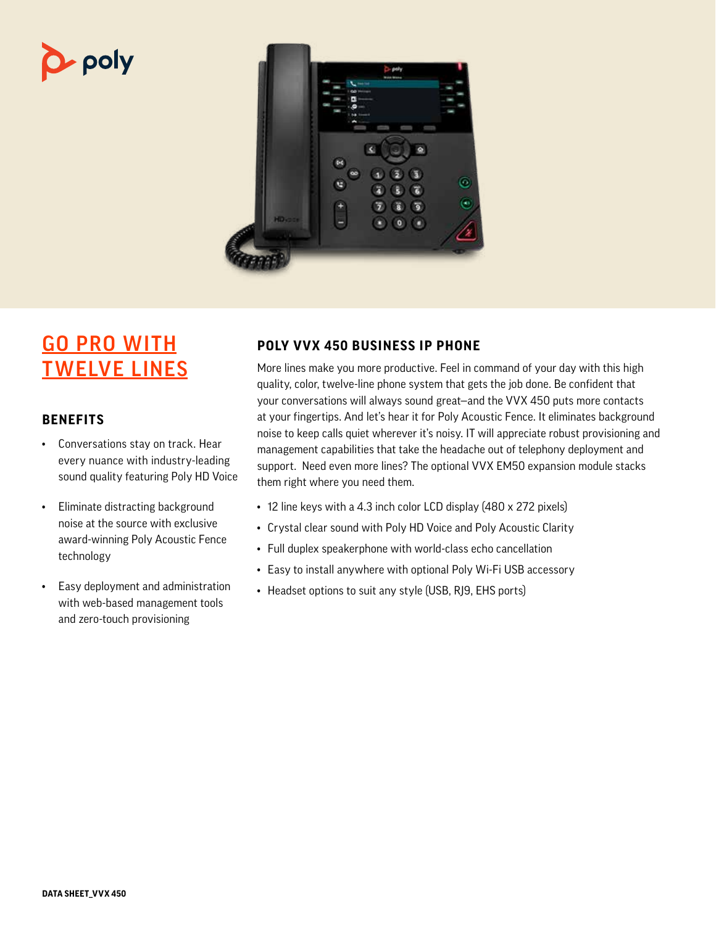# $\mathbf{p}$  poly



# GO PRO WITH TWELVE LINES

### **BENEFITS**

- Conversations stay on track. Hear every nuance with industry-leading sound quality featuring Poly HD Voice
- Eliminate distracting background noise at the source with exclusive award-winning Poly Acoustic Fence technology
- Easy deployment and administration with web-based management tools and zero-touch provisioning

## **POLY VVX 450 BUSINESS IP PHONE**

More lines make you more productive. Feel in command of your day with this high quality, color, twelve-line phone system that gets the job done. Be confident that your conversations will always sound great—and the VVX 450 puts more contacts at your fingertips. And let's hear it for Poly Acoustic Fence. It eliminates background noise to keep calls quiet wherever it's noisy. IT will appreciate robust provisioning and management capabilities that take the headache out of telephony deployment and support. Need even more lines? The optional VVX EM50 expansion module stacks them right where you need them.

- 12 line keys with a 4.3 inch color LCD display (480 x 272 pixels)
- Crystal clear sound with Poly HD Voice and Poly Acoustic Clarity
- Full duplex speakerphone with world-class echo cancellation
- Easy to install anywhere with optional Poly Wi-Fi USB accessory
- Headset options to suit any style (USB, RJ9, EHS ports)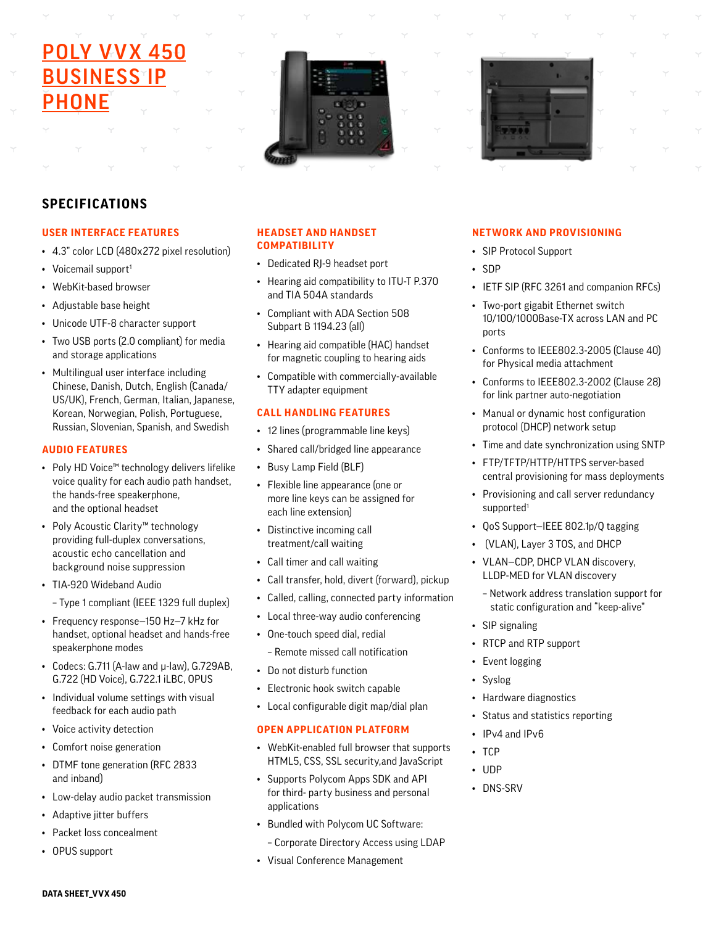# **POLY VVX 450 BUSINESS<sup>IP</sup>** PHONE





### **SPECIFICATIONS**

#### **USER INTERFACE FEATURES**

- 4.3" color LCD (480x272 pixel resolution)
- Voicemail support<sup>1</sup>
- WebKit-based browser
- Adjustable base height
- Unicode UTF-8 character support
- Two USB ports (2.0 compliant) for media and storage applications
- Multilingual user interface including Chinese, Danish, Dutch, English (Canada/ US/UK), French, German, Italian, Japanese, Korean, Norwegian, Polish, Portuguese, Russian, Slovenian, Spanish, and Swedish

#### **AUDIO FEATURES**

- Poly HD Voice™ technology delivers lifelike voice quality for each audio path handset, the hands-free speakerphone, and the optional headset
- Poly Acoustic Clarity™ technology providing full-duplex conversations, acoustic echo cancellation and background noise suppression
- TIA-920 Wideband Audio
	- Type 1 compliant (IEEE 1329 full duplex)
- Frequency response—150 Hz—7 kHz for handset, optional headset and hands-free speakerphone modes
- Codecs: G.711 (A-law and μ-law), G.729AB, G.722 (HD Voice), G.722.1 iLBC, OPUS
- Individual volume settings with visual feedback for each audio path
- Voice activity detection
- Comfort noise generation
- DTMF tone generation (RFC 2833 and inband)
- Low-delay audio packet transmission
- Adaptive jitter buffers
- Packet loss concealment
- OPUS support

#### **HEADSET AND HANDSET COMPATIBILITY**

- Dedicated RJ-9 headset port
- Hearing aid compatibility to ITU-T P.370 and TIA 504A standards
- Compliant with ADA Section 508 Subpart B 1194.23 (all)
- Hearing aid compatible (HAC) handset for magnetic coupling to hearing aids
- Compatible with commercially-available TTY adapter equipment

#### **CALL HANDLING FEATURES**

- 12 lines (programmable line keys)
- Shared call/bridged line appearance
- Busy Lamp Field (BLF)
- Flexible line appearance (one or more line keys can be assigned for each line extension)
- Distinctive incoming call treatment/call waiting
- Call timer and call waiting
- Call transfer, hold, divert (forward), pickup
- Called, calling, connected party information
- Local three-way audio conferencing
- One-touch speed dial, redial
- Remote missed call notification
- Do not disturb function
- Electronic hook switch capable
- Local configurable digit map/dial plan

#### **OPEN APPLICATION PLATFORM**

- WebKit-enabled full browser that supports HTML5, CSS, SSL security,and JavaScript
- Supports Polycom Apps SDK and API for third- party business and personal applications
- Bundled with Polycom UC Software:
	- Corporate Directory Access using LDAP
- Visual Conference Management

#### **NETWORK AND PROVISIONING**

- SIP Protocol Support
- SDP
- IETF SIP (RFC 3261 and companion RFCs)
- Two-port gigabit Ethernet switch 10/100/1000Base-TX across LAN and PC ports
- Conforms to IEEE802.3-2005 (Clause 40) for Physical media attachment
- Conforms to IEEE802.3-2002 (Clause 28) for link partner auto-negotiation
- Manual or dynamic host configuration protocol (DHCP) network setup
- Time and date synchronization using SNTP
- FTP/TFTP/HTTP/HTTPS server-based central provisioning for mass deployments
- Provisioning and call server redundancy supported<sup>1</sup>
- QoS Support—IEEE 802.1p/Q tagging
- (VLAN), Layer 3 TOS, and DHCP
- VLAN—CDP, DHCP VLAN discovery, LLDP-MED for VLAN discovery
	- Network address translation support for static configuration and "keep-alive"
- SIP signaling
- RTCP and RTP support
- Event logging
- Syslog
- Hardware diagnostics
- Status and statistics reporting
- IPv4 and IPv6
- TCP
- UDP
- DNS-SRV